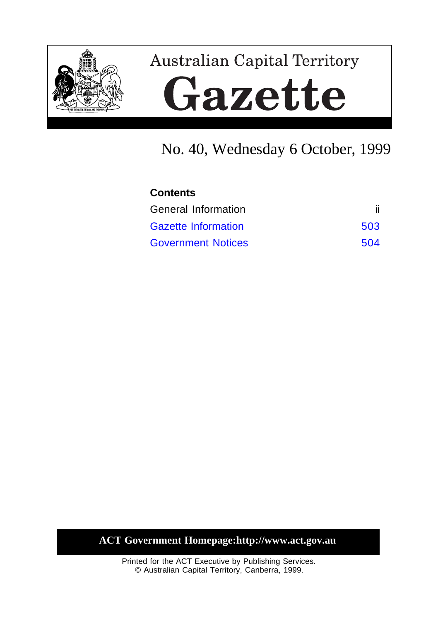

# **Australian Capital Territory** Gazette

# No. 40, Wednesday 6 October, 1999

| <b>Contents</b>            |     |  |
|----------------------------|-----|--|
| General Information        |     |  |
| <b>Gazette Information</b> | 503 |  |
| <b>Government Notices</b>  | 504 |  |

**ACT Government Homepage:http://www.act.gov.au**

Printed for the ACT Executive by Publishing Services. © Australian Capital Territory, Canberra, 1999.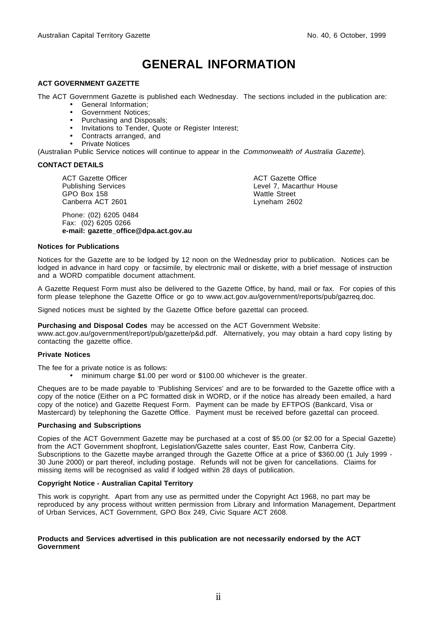# **GENERAL INFORMATION**

#### **ACT GOVERNMENT GAZETTE**

The ACT Government Gazette is published each Wednesday. The sections included in the publication are:

- General Information;
- Government Notices;
- Purchasing and Disposals;
- Invitations to Tender, Quote or Register Interest;
- Contracts arranged, and
- Private Notices

(Australian Public Service notices will continue to appear in the Commonwealth of Australia Gazette).

#### **CONTACT DETAILS**

ACT Gazette Officer Publishing Services GPO Box 158 Canberra ACT 2601

Phone: (02) 6205 0484 Fax: (02) 6205 0266 **e-mail: gazette\_office@dpa.act.gov.au** ACT Gazette Office Level 7, Macarthur House Wattle Street Lyneham 2602

#### **Notices for Publications**

Notices for the Gazette are to be lodged by 12 noon on the Wednesday prior to publication. Notices can be lodged in advance in hard copy or facsimile, by electronic mail or diskette, with a brief message of instruction and a WORD compatible document attachment.

A Gazette Request Form must also be delivered to the Gazette Office, by hand, mail or fax. For copies of this form please telephone the Gazette Office or go to www.act.gov.au/government/reports/pub/gazreq.doc.

Signed notices must be sighted by the Gazette Office before gazettal can proceed.

**Purchasing and Disposal Codes** may be accessed on the ACT Government Website:

www.act.gov.au/government/report/pub/gazette/p&d.pdf. Alternatively, you may obtain a hard copy listing by contacting the gazette office.

#### **Private Notices**

The fee for a private notice is as follows:

• minimum charge \$1.00 per word or \$100.00 whichever is the greater.

Cheques are to be made payable to 'Publishing Services' and are to be forwarded to the Gazette office with a copy of the notice (Either on a PC formatted disk in WORD, or if the notice has already been emailed, a hard copy of the notice) and Gazette Request Form. Payment can be made by EFTPOS (Bankcard, Visa or Mastercard) by telephoning the Gazette Office. Payment must be received before gazettal can proceed.

#### **Purchasing and Subscriptions**

Copies of the ACT Government Gazette may be purchased at a cost of \$5.00 (or \$2.00 for a Special Gazette) from the ACT Government shopfront, Legislation/Gazette sales counter, East Row, Canberra City. Subscriptions to the Gazette maybe arranged through the Gazette Office at a price of \$360.00 (1 July 1999 -30 June 2000) or part thereof, including postage. Refunds will not be given for cancellations. Claims for missing items will be recognised as valid if lodged within 28 days of publication.

#### **Copyright Notice - Australian Capital Territory**

This work is copyright. Apart from any use as permitted under the Copyright Act 1968, no part may be reproduced by any process without written permission from Library and Information Management, Department of Urban Services, ACT Government, GPO Box 249, Civic Square ACT 2608.

#### **Products and Services advertised in this publication are not necessarily endorsed by the ACT Government**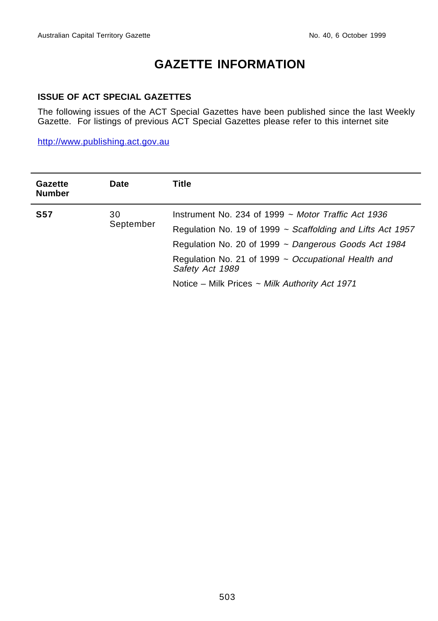# **GAZETTE INFORMATION**

# <span id="page-2-0"></span>**ISSUE OF ACT SPECIAL GAZETTES**

The following issues of the ACT Special Gazettes have been published since the last Weekly Gazette. For listings of previous ACT Special Gazettes please refer to this internet site

http://www.publishing.act.gov.au

| <b>Gazette</b><br><b>Number</b> | <b>Date</b>     | Title                                                                                                                                                                                                                                                                                                                |
|---------------------------------|-----------------|----------------------------------------------------------------------------------------------------------------------------------------------------------------------------------------------------------------------------------------------------------------------------------------------------------------------|
| <b>S57</b>                      | 30<br>September | Instrument No. 234 of 1999 $\sim$ Motor Traffic Act 1936<br>Regulation No. 19 of 1999 $\sim$ Scaffolding and Lifts Act 1957<br>Regulation No. 20 of 1999 ~ Dangerous Goods Act 1984<br>Regulation No. 21 of 1999 ~ Occupational Health and<br>Safety Act 1989<br>Notice – Milk Prices $\sim$ Milk Authority Act 1971 |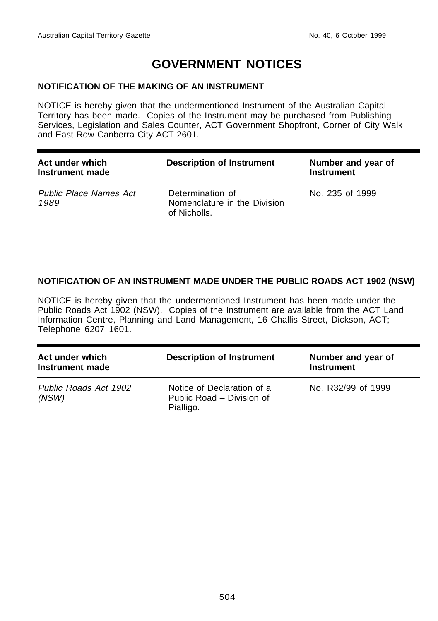# **GOVERNMENT NOTICES**

## <span id="page-3-0"></span>**NOTIFICATION OF THE MAKING OF AN INSTRUMENT**

NOTICE is hereby given that the undermentioned Instrument of the Australian Capital Territory has been made. Copies of the Instrument may be purchased from Publishing Services, Legislation and Sales Counter, ACT Government Shopfront, Corner of City Walk and East Row Canberra City ACT 2601.

| Act under which<br>Instrument made    | <b>Description of Instrument</b>                                 | Number and year of<br><b>Instrument</b> |
|---------------------------------------|------------------------------------------------------------------|-----------------------------------------|
| <b>Public Place Names Act</b><br>1989 | Determination of<br>Nomenclature in the Division<br>of Nicholls. | No. 235 of 1999                         |

# **NOTIFICATION OF AN INSTRUMENT MADE UNDER THE PUBLIC ROADS ACT 1902 (NSW)**

NOTICE is hereby given that the undermentioned Instrument has been made under the Public Roads Act 1902 (NSW). Copies of the Instrument are available from the ACT Land Information Centre, Planning and Land Management, 16 Challis Street, Dickson, ACT; Telephone 6207 1601.

| Act under which<br>Instrument made | <b>Description of Instrument</b>                                     | Number and year of<br><b>Instrument</b> |
|------------------------------------|----------------------------------------------------------------------|-----------------------------------------|
| Public Roads Act 1902<br>(NSW)     | Notice of Declaration of a<br>Public Road - Division of<br>Pialligo. | No. R32/99 of 1999                      |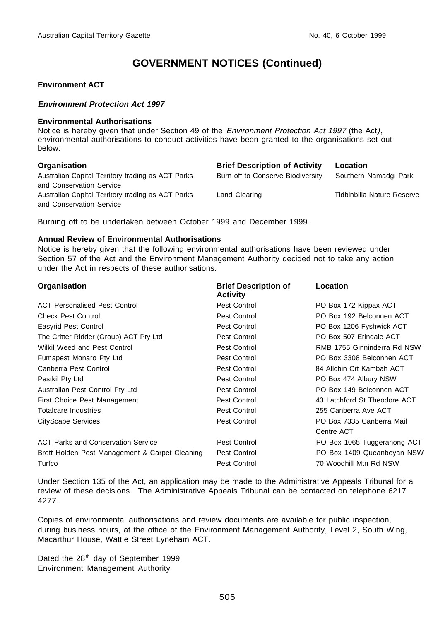#### **Environment ACT**

#### **Environment Protection Act 1997**

#### **Environmental Authorisations**

Notice is hereby given that under Section 49 of the *Environment Protection Act 1997* (the Act), environmental authorisations to conduct activities have been granted to the organisations set out below:

| Organisation |  |
|--------------|--|
|--------------|--|

Australian Capital Territory trading as ACT Parks and Conservation Service Burn off to Conserve Biodiversity Southern Namadgi Park Australian Capital Territory trading as ACT Parks and Conservation Service Land Clearing Tidbinbilla Nature Reserve

**Brief Description of Activity Location** 

Burning off to be undertaken between October 1999 and December 1999.

#### **Annual Review of Environmental Authorisations**

Notice is hereby given that the following environmental authorisations have been reviewed under Section 57 of the Act and the Environment Management Authority decided not to take any action under the Act in respects of these authorisations.

| Organisation                                   | <b>Brief Description of</b><br><b>Activity</b> | Location                     |
|------------------------------------------------|------------------------------------------------|------------------------------|
| <b>ACT Personalised Pest Control</b>           | Pest Control                                   | PO Box 172 Kippax ACT        |
| <b>Check Pest Control</b>                      | Pest Control                                   | PO Box 192 Belconnen ACT     |
| Easyrid Pest Control                           | Pest Control                                   | PO Box 1206 Fyshwick ACT     |
| The Critter Ridder (Group) ACT Pty Ltd         | Pest Control                                   | PO Box 507 Erindale ACT      |
| Wilkil Weed and Pest Control                   | Pest Control                                   | RMB 1755 Ginninderra Rd NSW  |
| Fumapest Monaro Pty Ltd                        | Pest Control                                   | PO Box 3308 Belconnen ACT    |
| Canberra Pest Control                          | Pest Control                                   | 84 Allchin Crt Kambah ACT    |
| Pestkil Pty Ltd                                | Pest Control                                   | PO Box 474 Albury NSW        |
| Australian Pest Control Pty Ltd                | Pest Control                                   | PO Box 149 Belconnen ACT     |
| First Choice Pest Management                   | Pest Control                                   | 43 Latchford St Theodore ACT |
| <b>Totalcare Industries</b>                    | Pest Control                                   | 255 Canberra Ave ACT         |
| CityScape Services                             | Pest Control                                   | PO Box 7335 Canberra Mail    |
|                                                |                                                | Centre ACT                   |
| <b>ACT Parks and Conservation Service</b>      | Pest Control                                   | PO Box 1065 Tuggeranong ACT  |
| Brett Holden Pest Management & Carpet Cleaning | Pest Control                                   | PO Box 1409 Queanbeyan NSW   |
| Turfco                                         | Pest Control                                   | 70 Woodhill Mtn Rd NSW       |

Under Section 135 of the Act, an application may be made to the Administrative Appeals Tribunal for a review of these decisions. The Administrative Appeals Tribunal can be contacted on telephone 6217 4277.

Copies of environmental authorisations and review documents are available for public inspection, during business hours, at the office of the Environment Management Authority, Level 2, South Wing, Macarthur House, Wattle Street Lyneham ACT.

Dated the  $28<sup>th</sup>$  day of September 1999 Environment Management Authority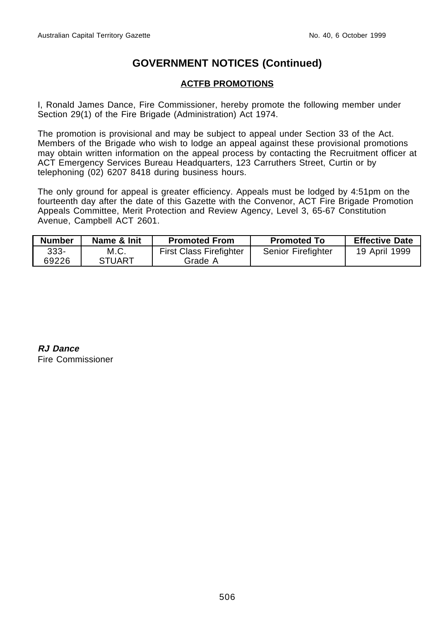# **ACTFB PROMOTIONS**

I, Ronald James Dance, Fire Commissioner, hereby promote the following member under Section 29(1) of the Fire Brigade (Administration) Act 1974.

The promotion is provisional and may be subject to appeal under Section 33 of the Act. Members of the Brigade who wish to lodge an appeal against these provisional promotions may obtain written information on the appeal process by contacting the Recruitment officer at ACT Emergency Services Bureau Headquarters, 123 Carruthers Street, Curtin or by telephoning (02) 6207 8418 during business hours.

The only ground for appeal is greater efficiency. Appeals must be lodged by 4:51pm on the fourteenth day after the date of this Gazette with the Convenor, ACT Fire Brigade Promotion Appeals Committee, Merit Protection and Review Agency, Level 3, 65-67 Constitution Avenue, Campbell ACT 2601.

| <b>Number</b> | Name & Init   | <b>Promoted From</b>           | <b>Promoted To</b> | <b>Effective Date</b> |
|---------------|---------------|--------------------------------|--------------------|-----------------------|
| 333-          | M.C.          | <b>First Class Firefighter</b> | Senior Firefighter | 19 April 1999         |
| 69226         | <b>STUART</b> | Grade A                        |                    |                       |

**RJ Dance** Fire Commissioner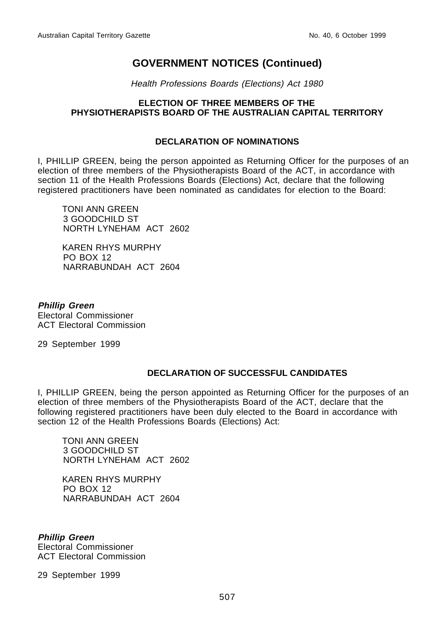Health Professions Boards (Elections) Act 1980

## **ELECTION OF THREE MEMBERS OF THE PHYSIOTHERAPISTS BOARD OF THE AUSTRALIAN CAPITAL TERRITORY**

## **DECLARATION OF NOMINATIONS**

I, PHILLIP GREEN, being the person appointed as Returning Officer for the purposes of an election of three members of the Physiotherapists Board of the ACT, in accordance with section 11 of the Health Professions Boards (Elections) Act, declare that the following registered practitioners have been nominated as candidates for election to the Board:

TONI ANN GREEN 3 GOODCHILD ST NORTH LYNEHAM ACT 2602

KAREN RHYS MURPHY PO BOX 12 NARRABUNDAH ACT 2604

**Phillip Green** Electoral Commissioner ACT Electoral Commission

29 September 1999

# **DECLARATION OF SUCCESSFUL CANDIDATES**

I, PHILLIP GREEN, being the person appointed as Returning Officer for the purposes of an election of three members of the Physiotherapists Board of the ACT, declare that the following registered practitioners have been duly elected to the Board in accordance with section 12 of the Health Professions Boards (Elections) Act:

TONI ANN GREEN 3 GOODCHILD ST NORTH LYNEHAM ACT 2602

KAREN RHYS MURPHY PO BOX 12 NARRABUNDAH ACT 2604

**Phillip Green** Electoral Commissioner ACT Electoral Commission

29 September 1999